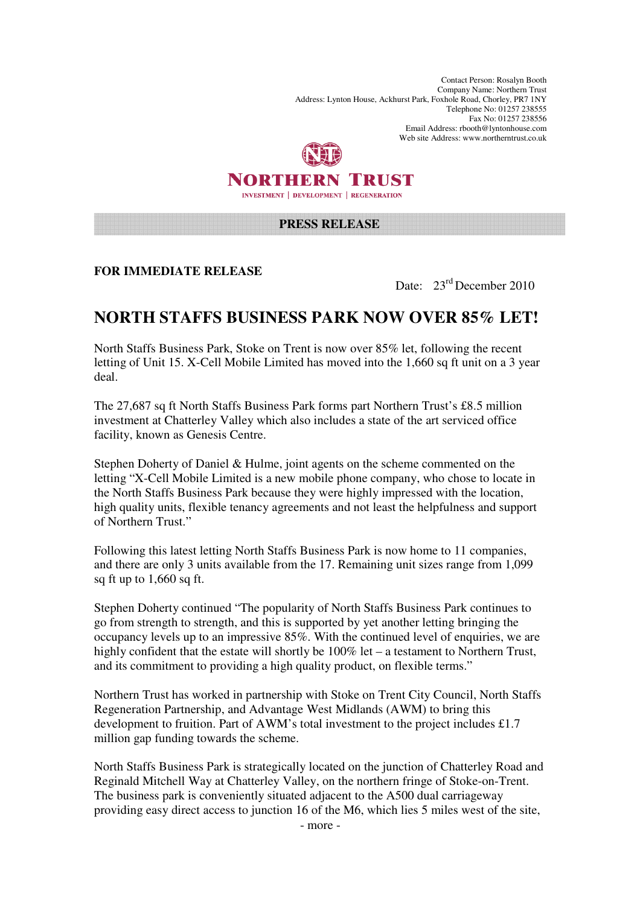Contact Person: Rosalyn Booth Company Name: Northern Trust Address: Lynton House, Ackhurst Park, Foxhole Road, Chorley, PR7 1NY Telephone No: 01257 238555 Fax No: 01257 238556 Email Address: rbooth@lyntonhouse.com Web site Address: www.northerntrust.co.uk



## **PRESS RELEASE**

**FOR IMMEDIATE RELEASE** 

Date:  $23<sup>rd</sup>$  December 2010

## **NORTH STAFFS BUSINESS PARK NOW OVER 85% LET!**

North Staffs Business Park, Stoke on Trent is now over 85% let, following the recent letting of Unit 15. X-Cell Mobile Limited has moved into the 1,660 sq ft unit on a 3 year deal.

The 27,687 sq ft North Staffs Business Park forms part Northern Trust's £8.5 million investment at Chatterley Valley which also includes a state of the art serviced office facility, known as Genesis Centre.

Stephen Doherty of Daniel & Hulme, joint agents on the scheme commented on the letting "X-Cell Mobile Limited is a new mobile phone company, who chose to locate in the North Staffs Business Park because they were highly impressed with the location, high quality units, flexible tenancy agreements and not least the helpfulness and support of Northern Trust."

Following this latest letting North Staffs Business Park is now home to 11 companies, and there are only 3 units available from the 17. Remaining unit sizes range from 1,099 sq ft up to 1,660 sq ft.

Stephen Doherty continued "The popularity of North Staffs Business Park continues to go from strength to strength, and this is supported by yet another letting bringing the occupancy levels up to an impressive 85%. With the continued level of enquiries, we are highly confident that the estate will shortly be 100% let – a testament to Northern Trust, and its commitment to providing a high quality product, on flexible terms."

Northern Trust has worked in partnership with Stoke on Trent City Council, North Staffs Regeneration Partnership, and Advantage West Midlands (AWM) to bring this development to fruition. Part of AWM's total investment to the project includes £1.7 million gap funding towards the scheme.

North Staffs Business Park is strategically located on the junction of Chatterley Road and Reginald Mitchell Way at Chatterley Valley, on the northern fringe of Stoke-on-Trent. The business park is conveniently situated adjacent to the A500 dual carriageway providing easy direct access to junction 16 of the M6, which lies 5 miles west of the site,